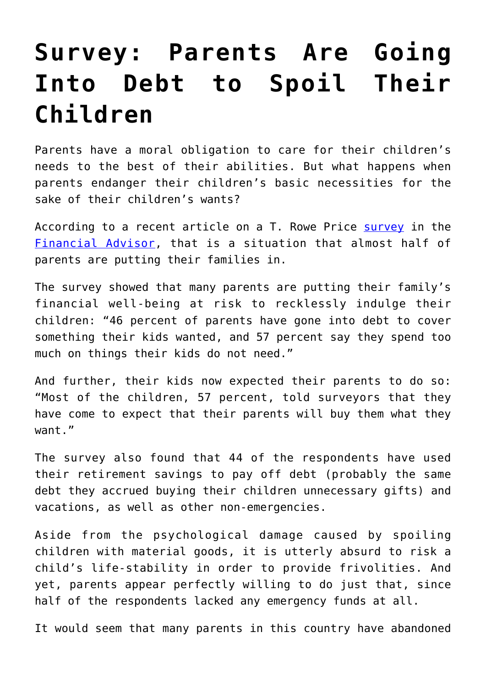## **[Survey: Parents Are Going](https://intellectualtakeout.org/2016/03/survey-parents-are-going-into-debt-to-spoil-their-children/) [Into Debt to Spoil Their](https://intellectualtakeout.org/2016/03/survey-parents-are-going-into-debt-to-spoil-their-children/) [Children](https://intellectualtakeout.org/2016/03/survey-parents-are-going-into-debt-to-spoil-their-children/)**

Parents have a moral obligation to care for their children's needs to the best of their abilities. But what happens when parents endanger their children's basic necessities for the sake of their children's wants?

According to a recent article on a T. Rowe Price [survey](https://corporate.troweprice.com/Money-Confident-Kids/Site/Media/Resources/Articles/2016-pkm-survey-supplemental-results-summary) in the [Financial Advisor](http://www.fa-mag.com/news/study--americans-tap-retirement--emergency-funds-to-spoil-children-25995.html?section=43), that is a situation that almost half of parents are putting their families in.

The survey showed that many parents are putting their family's financial well-being at risk to recklessly indulge their children: "46 percent of parents have gone into debt to cover something their kids wanted, and 57 percent say they spend too much on things their kids do not need."

And further, their kids now expected their parents to do so: "Most of the children, 57 percent, told surveyors that they have come to expect that their parents will buy them what they want."

The survey also found that 44 of the respondents have used their retirement savings to pay off debt (probably the same debt they accrued buying their children unnecessary gifts) and vacations, as well as other non-emergencies.

Aside from the psychological damage caused by spoiling children with material goods, it is utterly absurd to risk a child's life-stability in order to provide frivolities. And yet, parents appear perfectly willing to do just that, since half of the respondents lacked any emergency funds at all.

It would seem that many parents in this country have abandoned